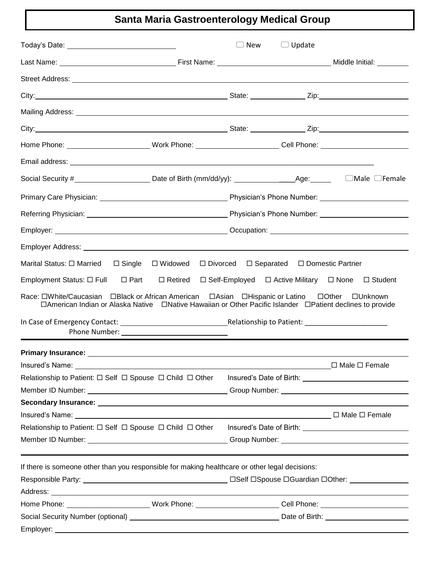# **Santa Maria Gastroenterology Medical Group**

| Today's Date: __________________________________                                                                                                                                                                                                                                                                                       | J New | $\Box$ Update                                           |                |  |
|----------------------------------------------------------------------------------------------------------------------------------------------------------------------------------------------------------------------------------------------------------------------------------------------------------------------------------------|-------|---------------------------------------------------------|----------------|--|
|                                                                                                                                                                                                                                                                                                                                        |       |                                                         |                |  |
|                                                                                                                                                                                                                                                                                                                                        |       |                                                         |                |  |
|                                                                                                                                                                                                                                                                                                                                        |       |                                                         |                |  |
|                                                                                                                                                                                                                                                                                                                                        |       |                                                         |                |  |
|                                                                                                                                                                                                                                                                                                                                        |       |                                                         |                |  |
| Home Phone: __________________________Work Phone: _________________________Cell Phone: _______________________                                                                                                                                                                                                                         |       |                                                         |                |  |
|                                                                                                                                                                                                                                                                                                                                        |       |                                                         |                |  |
| Social Security #_____________________________Date of Birth (mm/dd/yy): ____________________________Age: _______ _ _____Male __Female                                                                                                                                                                                                  |       |                                                         |                |  |
|                                                                                                                                                                                                                                                                                                                                        |       |                                                         |                |  |
|                                                                                                                                                                                                                                                                                                                                        |       |                                                         |                |  |
|                                                                                                                                                                                                                                                                                                                                        |       |                                                         |                |  |
|                                                                                                                                                                                                                                                                                                                                        |       |                                                         |                |  |
| Employment Status: $\square$ Full<br>$\Box$ Retired<br>$\Box$ Part<br>Race: $\square$ White/Caucasian BBlack or African American BAsian BHispanic or Latino BOther DUnknown<br>□American Indian or Alaska Native □Native Hawaiian or Other Pacific Islander □Patient declines to provide<br>Phone Number: ____________________________ |       | $\Box$ Self-Employed $\Box$ Active Military $\Box$ None | $\Box$ Student |  |
|                                                                                                                                                                                                                                                                                                                                        |       |                                                         |                |  |
|                                                                                                                                                                                                                                                                                                                                        |       |                                                         |                |  |
|                                                                                                                                                                                                                                                                                                                                        |       |                                                         |                |  |
| Relationship to Patient: $\Box$ Self $\Box$ Spouse $\Box$ Child $\Box$ Other                                                                                                                                                                                                                                                           |       |                                                         |                |  |
| If there is someone other than you responsible for making healthcare or other legal decisions:                                                                                                                                                                                                                                         |       |                                                         |                |  |
| Home Phone: ___________________________Work Phone: _________________________Cell Phone: ______________________                                                                                                                                                                                                                         |       |                                                         |                |  |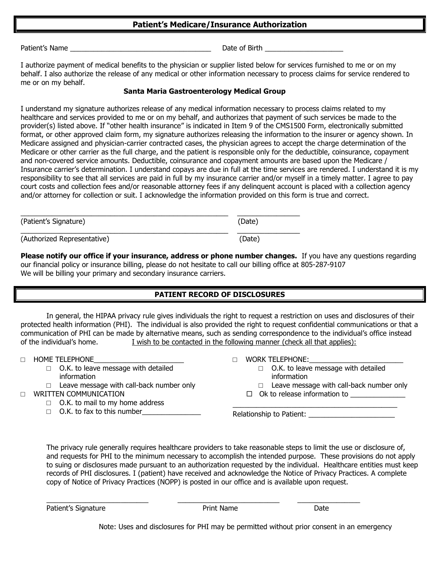#### **Patient's Medicare/Insurance Authorization**

Patient's Name that the state of the state of Birth and the Second Library of Birth  $\sim$ 

I authorize payment of medical benefits to the physician or supplier listed below for services furnished to me or on my behalf. I also authorize the release of any medical or other information necessary to process claims for service rendered to me or on my behalf.

#### **Santa Maria Gastroenterology Medical Group**

I understand my signature authorizes release of any medical information necessary to process claims related to my healthcare and services provided to me or on my behalf, and authorizes that payment of such services be made to the provider(s) listed above. If "other health insurance" is indicated in Item 9 of the CMS1500 Form, electronically submitted format, or other approved claim form, my signature authorizes releasing the information to the insurer or agency shown. In Medicare assigned and physician-carrier contracted cases, the physician agrees to accept the charge determination of the Medicare or other carrier as the full charge, and the patient is responsible only for the deductible, coinsurance, copayment and non-covered service amounts. Deductible, coinsurance and copayment amounts are based upon the Medicare / Insurance carrier's determination. I understand copays are due in full at the time services are rendered. I understand it is my responsibility to see that all services are paid in full by my insurance carrier and/or myself in a timely matter. I agree to pay court costs and collection fees and/or reasonable attorney fees if any delinquent account is placed with a collection agency and/or attorney for collection or suit. I acknowledge the information provided on this form is true and correct.

| (Patient's Signature)       | (Date) |
|-----------------------------|--------|
| (Authorized Representative) | (Date) |

**Please notify our office if your insurance, address or phone number changes.** If you have any questions regarding our financial policy or insurance billing, please do not hesitate to call our billing office at 805-287-9107 We will be billing your primary and secondary insurance carriers.

## **PATIENT RECORD OF DISCLOSURES**

In general, the HIPAA privacy rule gives individuals the right to request a restriction on uses and disclosures of their protected health information (PHI). The individual is also provided the right to request confidential communications or that a communication of PHI can be made by alternative means, such as sending correspondence to the individual's office instead of the individual's home. I wish to be contacted in the following manner (check all that applies):

□ HOME TELEPHONE

- □ O.K. to leave message with detailed information
- $\Box$  Leave message with call-back number only
- □ WRITTEN COMMUNICATION
	- □ O.K. to mail to my home address
	- $\Box$  O.K. to fax to this number
- □ WORK TELEPHONE:
	- □ O.K. to leave message with detailed information

\_\_\_\_\_\_\_\_\_\_\_\_\_\_\_\_\_\_\_\_\_\_\_\_\_\_\_\_\_\_\_\_\_\_\_\_\_\_\_\_\_\_

- □ Leave message with call-back number only
- $\Box$  Ok to release information to

Relationship to Patient:

The privacy rule generally requires healthcare providers to take reasonable steps to limit the use or disclosure of, and requests for PHI to the minimum necessary to accomplish the intended purpose. These provisions do not apply to suing or disclosures made pursuant to an authorization requested by the individual. Healthcare entities must keep records of PHI disclosures. I (patient) have received and acknowledge the Notice of Privacy Practices. A complete copy of Notice of Privacy Practices (NOPP) is posted in our office and is available upon request.

Patient's Signature **Prince Access 12 Automobile Print Name** Date Date

\_\_\_\_\_\_\_\_\_\_\_\_\_\_\_\_\_\_\_\_\_\_\_\_\_\_ \_\_\_\_\_\_\_\_\_\_\_\_\_\_\_\_\_\_\_\_\_\_\_\_\_\_ \_\_\_\_\_\_\_\_\_\_\_\_\_\_\_\_

Note: Uses and disclosures for PHI may be permitted without prior consent in an emergency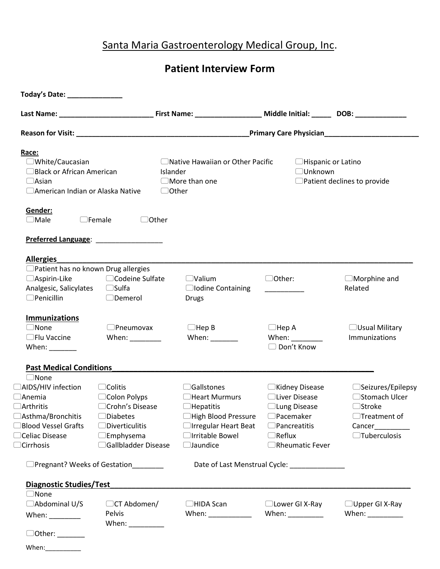# Santa Maria Gastroenterology Medical Group, Inc.

**Patient Interview Form**

| Race:<br>□White/Caucasian<br>□ Black or African American<br>$\Box$ Asian<br>□ American Indian or Alaska Native<br>Gender:<br>$\Box$ Male<br>$\Box$ Female    | $\Box$ Other                                                                                                                              | □ Native Hawaiian or Other Pacific<br>Islander<br>$\Box$ More than one<br>$\Box$ Other                                                           | □Hispanic or Latino<br>□Unknown                                                                                                           | □ Patient declines to provide                                                                                       |
|--------------------------------------------------------------------------------------------------------------------------------------------------------------|-------------------------------------------------------------------------------------------------------------------------------------------|--------------------------------------------------------------------------------------------------------------------------------------------------|-------------------------------------------------------------------------------------------------------------------------------------------|---------------------------------------------------------------------------------------------------------------------|
|                                                                                                                                                              |                                                                                                                                           |                                                                                                                                                  |                                                                                                                                           |                                                                                                                     |
| <b>Allergies</b><br>$\Box$ Patient has no known Drug allergies<br>$\Box$ Aspirin-Like<br>$\Box$ Penicillin                                                   | □Codeine Sulfate<br>□Demerol                                                                                                              | $\Box$ Valium<br>□ Iodine Containing<br><b>Drugs</b>                                                                                             | □Other:                                                                                                                                   | $\Box$ Morphine and<br>Related                                                                                      |
| <b>Immunizations</b><br>$\Box$ None<br>$\Box$ Flu Vaccine<br>When: $\frac{1}{\sqrt{1-\frac{1}{2}}\cdot\frac{1}{\sqrt{1-\frac{1}{2}}}}$                       | $\Box$ Pneumovax<br>When: $\sqrt{2\pi}$                                                                                                   | $\Box$ Hep B<br>When:                                                                                                                            | $\Box$ Hep A<br>When: $\sqrt{2\pi}$<br>□ Don't Know                                                                                       | $\Box$ Usual Military<br>Immunizations                                                                              |
| <b>Past Medical Conditions</b>                                                                                                                               |                                                                                                                                           |                                                                                                                                                  |                                                                                                                                           |                                                                                                                     |
| $\Box$ None<br>□AIDS/HIV infection<br>$\Box$ Anemia<br>$\Box$ Arthritis<br>□Asthma/Bronchitis<br>□Blood Vessel Grafts<br>□Celiac Disease<br>$\Box$ Cirrhosis | $\Box$ Colitis<br>□ Colon Polyps<br>□ Crohn's Disease<br>Diabetes<br>$\Box$ Diverticulitis<br>$\square$ Emphysema<br>□Gallbladder Disease | $\Box$ Gallstones<br>□Heart Murmurs<br>$\Box$ Hepatitis<br>□High Blood Pressure<br>□ Irregular Heart Beat<br>□Irritable Bowel<br>$\Box$ Jaundice | $\Box$ Kidney Disease<br>□Liver Disease<br>□ Lung Disease<br>$\Box$ Pacemaker<br>$\Box$ Pancreatitis<br>$\Box$ Reflux<br>□Rheumatic Fever | $\Box$ Seizures/Epilepsy<br>□Stomach Ulcer<br>$\Box$ Stroke<br>$\Box$ Treatment of<br>Cancer<br>$\Box$ Tuberculosis |
| □Pregnant? Weeks of Gestation                                                                                                                                |                                                                                                                                           |                                                                                                                                                  | Date of Last Menstrual Cycle: _______________                                                                                             |                                                                                                                     |
| <b>Diagnostic Studies/Test</b>                                                                                                                               |                                                                                                                                           |                                                                                                                                                  |                                                                                                                                           |                                                                                                                     |
| $\Box$ None<br>□Abdominal U/S<br>When: $\frac{1}{\sqrt{1-\frac{1}{2}}\cdot\frac{1}{\sqrt{1-\frac{1}{2}}}}$                                                   | $\Box$ CT Abdomen/<br>Pelvis                                                                                                              | $\Box$ HIDA Scan<br>When: $\frac{1}{\sqrt{1-\frac{1}{2}}\cdot\frac{1}{\sqrt{1-\frac{1}{2}}}}$                                                    | □Lower GI X-Ray<br>When: $\frac{1}{1}$                                                                                                    | $\Box$ Upper GI X-Ray<br>When: $\frac{1}{1}$                                                                        |
| When: $\frac{1}{2}$                                                                                                                                          | When: $\frac{1}{\sqrt{1-\frac{1}{2}}\cdot\frac{1}{\sqrt{1-\frac{1}{2}}}}$                                                                 |                                                                                                                                                  |                                                                                                                                           |                                                                                                                     |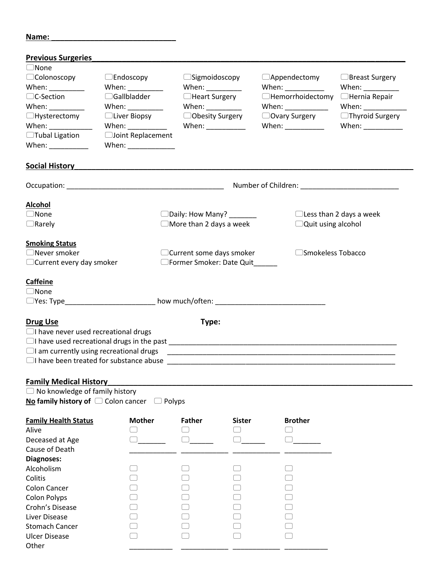#### **Name: \_\_\_\_\_\_\_\_\_\_\_\_\_\_\_\_\_\_\_\_\_\_\_\_\_\_\_\_\_**

| <b>Previous Surgeries</b>                                                 |                           |                                                        |                                                                           |                                                        |  |  |
|---------------------------------------------------------------------------|---------------------------|--------------------------------------------------------|---------------------------------------------------------------------------|--------------------------------------------------------|--|--|
| $\Box$ None                                                               |                           |                                                        |                                                                           |                                                        |  |  |
| Colonoscopy                                                               | $\Box$ Endoscopy          | $\Box$ Sigmoidoscopy                                   | $\Box$ Appendectomy                                                       | □Breast Surgery                                        |  |  |
| When: __________                                                          | When: $\frac{1}{1}$       | When: ____________                                     | When: $\frac{1}{2}$                                                       | When: $\frac{1}{\sqrt{1-\frac{1}{2}}\cdot\frac{1}{2}}$ |  |  |
| $\Box$ C-Section                                                          | $\Box$ Gallbladder        | □Heart Surgery                                         | □Hemorrhoidectomy                                                         | $\Box$ Hernia Repair                                   |  |  |
| When: $\frac{1}{2}$                                                       | When: ___________         | When: $\frac{1}{\sqrt{1-\frac{1}{2}}\cdot\frac{1}{2}}$ | When: $\frac{1}{\sqrt{1-\frac{1}{2}}\cdot\frac{1}{2}}$                    | When: $\sqrt{2\pi}$                                    |  |  |
| $\Box$ Hysterectomy                                                       | □Liver Biopsy             | □Obesity Surgery                                       | □ Ovary Surgery                                                           | $\Box$ Thyroid Surgery                                 |  |  |
| When: $\frac{1}{\sqrt{1-\frac{1}{2}}\cdot\frac{1}{2}}$                    | When: $\frac{1}{2}$ When: | When: $\frac{1}{1}$                                    | When: $\frac{1}{\sqrt{1-\frac{1}{2}}\cdot\frac{1}{\sqrt{1-\frac{1}{2}}}}$ |                                                        |  |  |
| □Tubal Ligation                                                           | □Joint Replacement        |                                                        |                                                                           |                                                        |  |  |
| When: $\frac{1}{\sqrt{1-\frac{1}{2}}\cdot\frac{1}{\sqrt{1-\frac{1}{2}}}}$ | When: _____________       |                                                        |                                                                           |                                                        |  |  |
|                                                                           |                           |                                                        |                                                                           |                                                        |  |  |
| <b>Social History</b>                                                     |                           |                                                        |                                                                           |                                                        |  |  |
|                                                                           |                           |                                                        |                                                                           |                                                        |  |  |
|                                                                           |                           |                                                        |                                                                           |                                                        |  |  |
| <b>Alcohol</b>                                                            |                           |                                                        |                                                                           |                                                        |  |  |
| $\Box$ None                                                               |                           | □Daily: How Many? _______                              |                                                                           | $\Box$ Less than 2 days a week                         |  |  |
| $\Box$ Rarely                                                             |                           | $\Box$ More than 2 days a week                         | $\Box$ Quit using alcohol                                                 |                                                        |  |  |
|                                                                           |                           |                                                        |                                                                           |                                                        |  |  |
| <b>Smoking Status</b>                                                     |                           |                                                        |                                                                           |                                                        |  |  |
| Never smoker                                                              |                           | □ Current some days smoker                             | □Smokeless Tobacco                                                        |                                                        |  |  |
| □ Current every day smoker                                                |                           | □Former Smoker: Date Quit                              |                                                                           |                                                        |  |  |
|                                                                           |                           |                                                        |                                                                           |                                                        |  |  |
| <b>Caffeine</b>                                                           |                           |                                                        |                                                                           |                                                        |  |  |
| $\supset$ None                                                            |                           |                                                        |                                                                           |                                                        |  |  |
|                                                                           |                           | □ Yes: Type how much/often: △ how much/often:          |                                                                           |                                                        |  |  |
| <b>Drug Use</b>                                                           |                           | Type:                                                  |                                                                           |                                                        |  |  |
| $\Box$ I have never used recreational drugs                               |                           |                                                        |                                                                           |                                                        |  |  |
|                                                                           |                           |                                                        |                                                                           |                                                        |  |  |
| $\Box$ I am currently using recreational drugs                            |                           |                                                        |                                                                           |                                                        |  |  |
|                                                                           |                           |                                                        |                                                                           |                                                        |  |  |
|                                                                           |                           |                                                        |                                                                           |                                                        |  |  |
| <b>Family Medical History</b>                                             |                           |                                                        |                                                                           |                                                        |  |  |
| $\Box$ No knowledge of family history                                     |                           |                                                        |                                                                           |                                                        |  |  |
| No family history of $\Box$ Colon cancer $\Box$ Polyps                    |                           |                                                        |                                                                           |                                                        |  |  |
|                                                                           |                           |                                                        |                                                                           |                                                        |  |  |

| <b>Family Health Status</b> | <b>Mother</b> | <b>Father</b> | <b>Sister</b> | <b>Brother</b> |
|-----------------------------|---------------|---------------|---------------|----------------|
| Alive                       |               |               |               |                |
| Deceased at Age             |               |               |               |                |
| Cause of Death              |               |               |               |                |
| Diagnoses:                  |               |               |               |                |
| Alcoholism                  |               |               |               |                |
| Colitis                     |               |               |               |                |
| <b>Colon Cancer</b>         |               |               |               |                |
| <b>Colon Polyps</b>         |               |               |               |                |
| Crohn's Disease             |               |               |               |                |
| Liver Disease               |               |               |               |                |
| <b>Stomach Cancer</b>       |               |               |               |                |
| <b>Ulcer Disease</b>        |               |               |               |                |
| Other                       |               |               |               |                |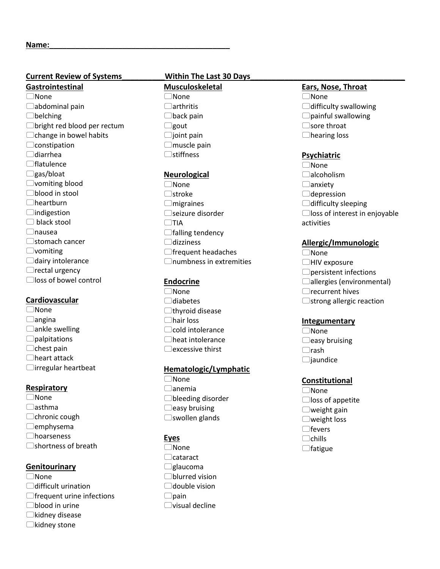#### **Current Review of Systems Within The Last 30 Days**

# **Gastrointestinal**

None  $\Box$ abdominal pain belching bright red blood per rectum  $\Box$ change in bowel habits  $\Box$ constipation  $\Box$ diarrhea  $\Box$ flatulence  $\Box$ gas/bloat vomiting blood blood in stool heartburn  $\Box$ indigestion □ black stool nausea  $\Box$ stomach cancer vomiting  $\Box$ dairy intolerance  $\Box$ rectal urgency loss of bowel control

#### **Cardiovascular**

None  $\Box$ angina  $\Box$ ankle swelling  $\Box$ palpitations  $\Box$ chest pain heart attack  $\Box$ irregular heartbeat

#### **Respiratory**

None  $\Box$ asthma  $\Box$ chronic cough  $\Box$ emphysema hoarseness □shortness of breath

#### **Genitourinary**

- None
- difficult urination
- $\Box$  frequent urine infections
- blood in urine
- $\Box$ kidney disease
- $\Box$ kidney stone

**Musculoskeletal** None arthritis  $\Box$ back pain  $\Box$ gout  $\Box$ joint pain  $\Box$ muscle pain  $\Box$ stiffness

#### **Neurological**

None  $\Box$ stroke  $\Box$ migraines □seizure disorder  $\Box$ TIA  $\Box$  falling tendency dizziness  $\Box$  frequent headaches  $\Box$ numbness in extremities

#### **Endocrine**

None  $\Box$ diabetes  $\Box$ thyroid disease hair loss  $\Box$ cold intolerance heat intolerance  $\Box$ excessive thirst

#### **Hematologic/Lymphatic**

None  $\Box$ anemia bleeding disorder  $\Box$ easy bruising swollen glands

## **Eyes**

None □cataract  $\Box$ glaucoma blurred vision  $\Box$ double vision  $\Box$ pain  $\Box$ visual decline

#### **Ears, Nose, Throat**

None  $\Box$ difficulty swallowing  $\Box$ painful swallowing  $\Box$ sore throat hearing loss

#### **Psychiatric**

None □alcoholism  $\Box$ anxiety  $\Box$ depression  $\Box$ difficulty sleeping loss of interest in enjoyable activities

## **Allergic/Immunologic**

- None
- □HIV exposure
- persistent infections
- □allergies (environmental)
- $\Box$ recurrent hives
- $\Box$ strong allergic reaction

#### **Integumentary**

None  $\Box$ easy bruising  $\Box$ rash  $\Box$ jaundice

#### **Constitutional**

None  $\Box$  loss of appetite  $\Box$ weight gain weight loss  $\bigcap$ fevers  $\Box$ chills  $\Box$ fatigue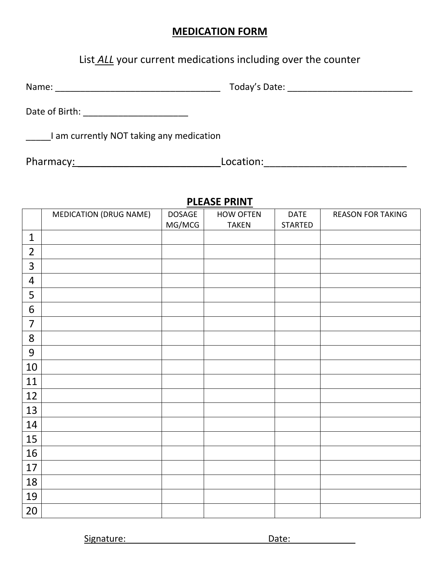# **MEDICATION FORM**

# List *ALL* your current medications including over the counter

Name: \_\_\_\_\_\_\_\_\_\_\_\_\_\_\_\_\_\_\_\_\_\_\_\_\_\_\_\_\_\_\_\_\_ Today's Date: \_\_\_\_\_\_\_\_\_\_\_\_\_\_\_\_\_\_\_\_\_\_\_\_\_

Date of Birth: \_\_\_\_\_\_\_\_\_\_\_\_\_\_\_\_\_\_\_\_\_

I am currently NOT taking any medication

Pharmacy: \_\_\_\_\_\_\_\_\_\_\_\_\_\_\_\_\_\_\_\_\_\_\_\_\_Location:\_\_\_\_\_\_\_\_\_\_\_\_\_\_\_\_\_\_\_\_\_\_\_\_\_

# **PLEASE PRINT**

|                | <b>MEDICATION (DRUG NAME)</b> | DOSAGE | <b>HOW OFTEN</b> | <b>DATE</b>    | <b>REASON FOR TAKING</b> |
|----------------|-------------------------------|--------|------------------|----------------|--------------------------|
|                |                               | MG/MCG | <b>TAKEN</b>     | <b>STARTED</b> |                          |
| $\mathbf{1}$   |                               |        |                  |                |                          |
| $\overline{2}$ |                               |        |                  |                |                          |
| 3              |                               |        |                  |                |                          |
| $\overline{4}$ |                               |        |                  |                |                          |
| 5              |                               |        |                  |                |                          |
| 6              |                               |        |                  |                |                          |
| $\overline{7}$ |                               |        |                  |                |                          |
| $\bf 8$        |                               |        |                  |                |                          |
| 9              |                               |        |                  |                |                          |
| 10             |                               |        |                  |                |                          |
| 11             |                               |        |                  |                |                          |
| 12             |                               |        |                  |                |                          |
| 13             |                               |        |                  |                |                          |
| 14             |                               |        |                  |                |                          |
| 15             |                               |        |                  |                |                          |
| 16             |                               |        |                  |                |                          |
| 17             |                               |        |                  |                |                          |
| 18             |                               |        |                  |                |                          |
| 19             |                               |        |                  |                |                          |
| 20             |                               |        |                  |                |                          |

Signature: \_\_\_\_\_\_\_\_\_\_\_\_\_\_\_\_\_\_\_\_\_\_\_\_\_\_\_\_Date:\_\_\_\_\_\_\_\_\_\_\_\_\_